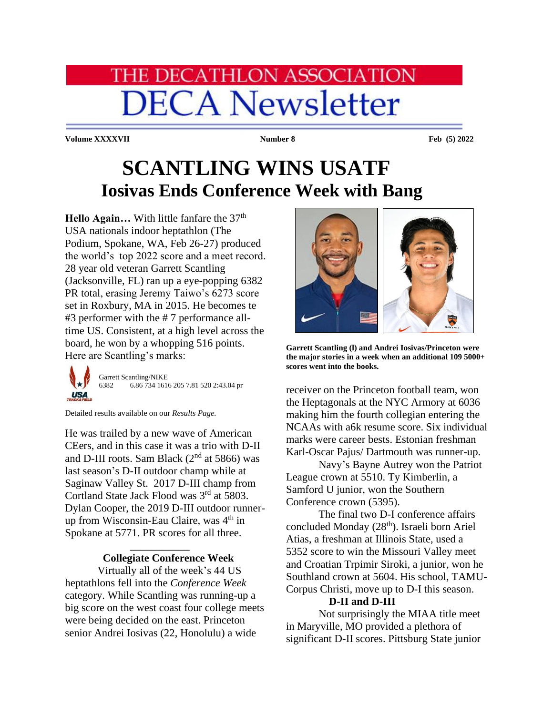## **HE DECATHLON ASSOCIATION DECA Newsletter**

**Volume XXXXVII Number 8 Feb (5) 2022**

## **SCANTLING WINS USATF Iosivas Ends Conference Week with Bang**

Hello Again... With little fanfare the 37<sup>th</sup> USA nationals indoor heptathlon (The Podium, Spokane, WA, Feb 26-27) produced the world's top 2022 score and a meet record. 28 year old veteran Garrett Scantling (Jacksonville, FL) ran up a eye-popping 6382 PR total, erasing Jeremy Taiwo's 6273 score set in Roxbury, MA in 2015. He becomes te #3 performer with the # 7 performance alltime US. Consistent, at a high level across the board, he won by a whopping 516 points. Here are Scantling's marks:

Garrett Scantling/NIKE 6382 6.86 734 1616 205 7.81 520 2:43.04 pr **USA** 

Detailed results available on our *Results Page.*

He was trailed by a new wave of American CEers, and in this case it was a trio with D-II and D-III roots. Sam Black  $(2<sup>nd</sup>$  at 5866) was last season's D-II outdoor champ while at Saginaw Valley St. 2017 D-III champ from Cortland State Jack Flood was 3<sup>rd</sup> at 5803. Dylan Cooper, the 2019 D-III outdoor runnerup from Wisconsin-Eau Claire, was 4<sup>th</sup> in Spokane at 5771. PR scores for all three.

## **Collegiate Conference Week**

\_\_\_\_\_\_\_\_\_\_\_

Virtually all of the week's 44 US heptathlons fell into the *Conference Week*  category. While Scantling was running-up a big score on the west coast four college meets were being decided on the east. Princeton senior Andrei Iosivas (22, Honolulu) a wide



**Garrett Scantling (l) and Andrei Iosivas/Princeton were the major stories in a week when an additional 109 5000+ scores went into the books.**

receiver on the Princeton football team, won the Heptagonals at the NYC Armory at 6036 making him the fourth collegian entering the NCAAs with a6k resume score. Six individual marks were career bests. Estonian freshman Karl-Oscar Pajus/ Dartmouth was runner-up.

Navy's Bayne Autrey won the Patriot League crown at 5510. Ty Kimberlin, a Samford U junior, won the Southern Conference crown (5395).

The final two D-I conference affairs concluded Monday (28<sup>th</sup>). Israeli born Ariel Atias, a freshman at Illinois State, used a 5352 score to win the Missouri Valley meet and Croatian Trpimir Siroki, a junior, won he Southland crown at 5604. His school, TAMU-Corpus Christi, move up to D-I this season.

## **D-II and D-III**

Not surprisingly the MIAA title meet in Maryville, MO provided a plethora of significant D-II scores. Pittsburg State junior